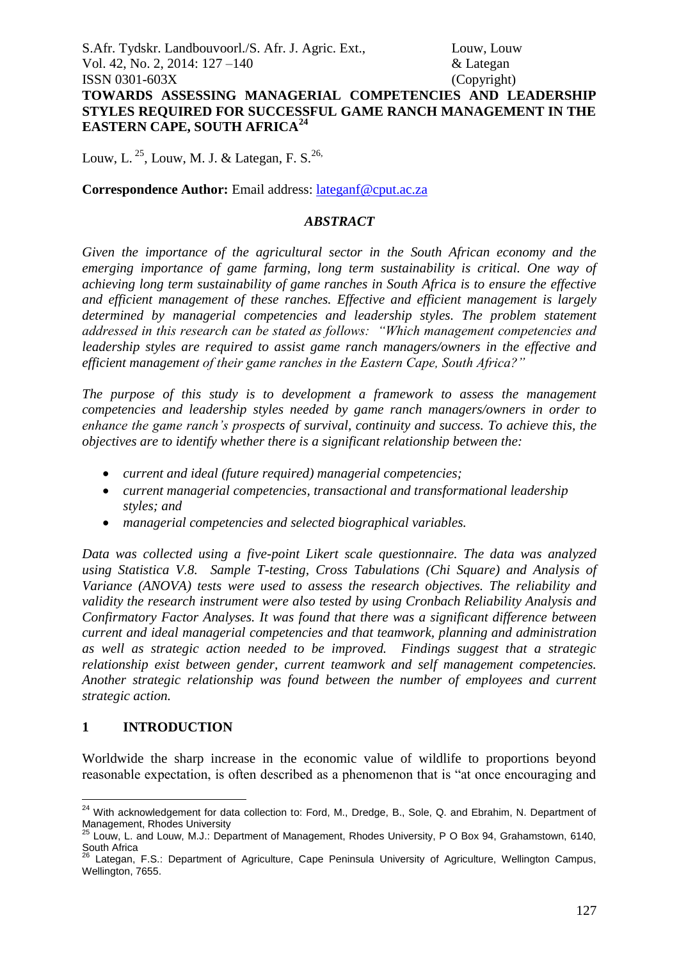Louw, L.  $^{25}$ , Louw, M. J. & Lategan, F. S.<sup>26,</sup>

#### **Correspondence Author:** Email address: [lateganf@cput.ac.za](mailto:lateganf@cput.ac.za)

#### *ABSTRACT*

*Given the importance of the agricultural sector in the South African economy and the emerging importance of game farming, long term sustainability is critical. One way of achieving long term sustainability of game ranches in South Africa is to ensure the effective and efficient management of these ranches. Effective and efficient management is largely determined by managerial competencies and leadership styles. The problem statement addressed in this research can be stated as follows: "Which management competencies and leadership styles are required to assist game ranch managers/owners in the effective and efficient management of their game ranches in the Eastern Cape, South Africa?"*

*The purpose of this study is to development a framework to assess the management competencies and leadership styles needed by game ranch managers/owners in order to enhance the game ranch's prospects of survival, continuity and success. To achieve this, the objectives are to identify whether there is a significant relationship between the:* 

- *current and ideal (future required) managerial competencies;*
- *current managerial competencies, transactional and transformational leadership styles; and*
- *managerial competencies and selected biographical variables.*

*Data was collected using a five-point Likert scale questionnaire. The data was analyzed using Statistica V.8. Sample T-testing, Cross Tabulations (Chi Square) and Analysis of Variance (ANOVA) tests were used to assess the research objectives. The reliability and validity the research instrument were also tested by using Cronbach Reliability Analysis and Confirmatory Factor Analyses. It was found that there was a significant difference between current and ideal managerial competencies and that teamwork, planning and administration as well as strategic action needed to be improved. Findings suggest that a strategic relationship exist between gender, current teamwork and self management competencies. Another strategic relationship was found between the number of employees and current strategic action.*

## **1 INTRODUCTION**

Worldwide the sharp increase in the economic value of wildlife to proportions beyond reasonable expectation, is often described as a phenomenon that is "at once encouraging and

<sup>1</sup> <sup>24</sup> With acknowledgement for data collection to: Ford, M., Dredge, B., Sole, Q. and Ebrahim, N. Department of Management, Rhodes University

 $25$  Louw, L. and Louw, M.J.: Department of Management, Rhodes University, P O Box 94, Grahamstown, 6140, South Africa

<sup>&</sup>lt;sup>26</sup> Lategan, F.S.: Department of Agriculture, Cape Peninsula University of Agriculture, Wellington Campus, Wellington, 7655.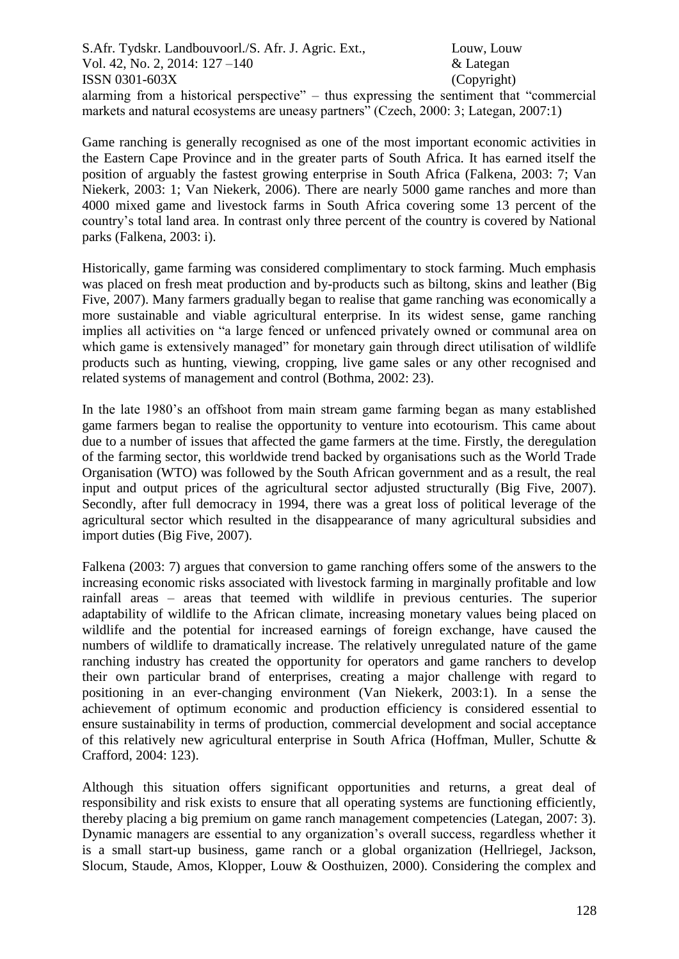alarming from a historical perspective" – thus expressing the sentiment that "commercial markets and natural ecosystems are uneasy partners" (Czech, 2000: 3; Lategan, 2007:1)

Game ranching is generally recognised as one of the most important economic activities in the Eastern Cape Province and in the greater parts of South Africa. It has earned itself the position of arguably the fastest growing enterprise in South Africa (Falkena, 2003: 7; Van Niekerk, 2003: 1; Van Niekerk, 2006). There are nearly 5000 game ranches and more than 4000 mixed game and livestock farms in South Africa covering some 13 percent of the country's total land area. In contrast only three percent of the country is covered by National parks (Falkena, 2003: i).

Historically, game farming was considered complimentary to stock farming. Much emphasis was placed on fresh meat production and by-products such as biltong, skins and leather (Big Five, 2007). Many farmers gradually began to realise that game ranching was economically a more sustainable and viable agricultural enterprise. In its widest sense, game ranching implies all activities on "a large fenced or unfenced privately owned or communal area on which game is extensively managed" for monetary gain through direct utilisation of wildlife products such as hunting, viewing, cropping, live game sales or any other recognised and related systems of management and control (Bothma, 2002: 23).

In the late 1980's an offshoot from main stream game farming began as many established game farmers began to realise the opportunity to venture into ecotourism. This came about due to a number of issues that affected the game farmers at the time. Firstly, the deregulation of the farming sector, this worldwide trend backed by organisations such as the World Trade Organisation (WTO) was followed by the South African government and as a result, the real input and output prices of the agricultural sector adjusted structurally (Big Five, 2007). Secondly, after full democracy in 1994, there was a great loss of political leverage of the agricultural sector which resulted in the disappearance of many agricultural subsidies and import duties (Big Five, 2007).

Falkena (2003: 7) argues that conversion to game ranching offers some of the answers to the increasing economic risks associated with livestock farming in marginally profitable and low rainfall areas – areas that teemed with wildlife in previous centuries. The superior adaptability of wildlife to the African climate, increasing monetary values being placed on wildlife and the potential for increased earnings of foreign exchange, have caused the numbers of wildlife to dramatically increase. The relatively unregulated nature of the game ranching industry has created the opportunity for operators and game ranchers to develop their own particular brand of enterprises, creating a major challenge with regard to positioning in an ever-changing environment (Van Niekerk, 2003:1). In a sense the achievement of optimum economic and production efficiency is considered essential to ensure sustainability in terms of production, commercial development and social acceptance of this relatively new agricultural enterprise in South Africa (Hoffman, Muller, Schutte & Crafford, 2004: 123).

Although this situation offers significant opportunities and returns, a great deal of responsibility and risk exists to ensure that all operating systems are functioning efficiently, thereby placing a big premium on game ranch management competencies (Lategan, 2007: 3). Dynamic managers are essential to any organization's overall success, regardless whether it is a small start-up business, game ranch or a global organization (Hellriegel, Jackson, Slocum, Staude, Amos, Klopper, Louw & Oosthuizen, 2000). Considering the complex and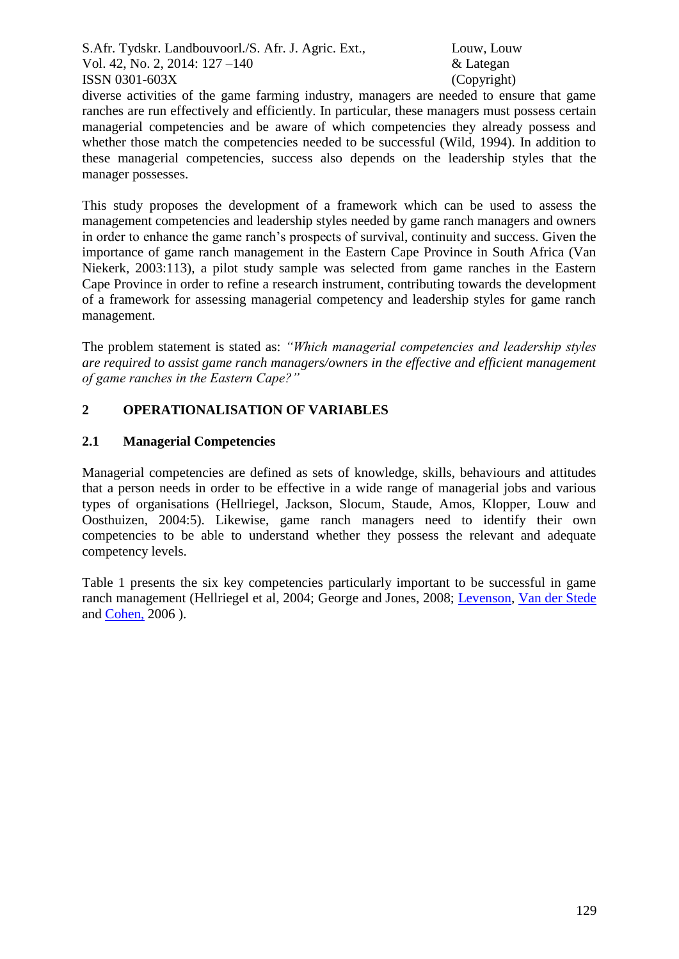diverse activities of the game farming industry, managers are needed to ensure that game ranches are run effectively and efficiently. In particular, these managers must possess certain managerial competencies and be aware of which competencies they already possess and whether those match the competencies needed to be successful (Wild, 1994). In addition to these managerial competencies, success also depends on the leadership styles that the manager possesses.

This study proposes the development of a framework which can be used to assess the management competencies and leadership styles needed by game ranch managers and owners in order to enhance the game ranch's prospects of survival, continuity and success. Given the importance of game ranch management in the Eastern Cape Province in South Africa (Van Niekerk, 2003:113), a pilot study sample was selected from game ranches in the Eastern Cape Province in order to refine a research instrument, contributing towards the development of a framework for assessing managerial competency and leadership styles for game ranch management.

The problem statement is stated as: *"Which managerial competencies and leadership styles are required to assist game ranch managers/owners in the effective and efficient management of game ranches in the Eastern Cape?"*

# **2 OPERATIONALISATION OF VARIABLES**

## **2.1 Managerial Competencies**

Managerial competencies are defined as sets of knowledge, skills, behaviours and attitudes that a person needs in order to be effective in a wide range of managerial jobs and various types of organisations (Hellriegel, Jackson, Slocum, Staude, Amos, Klopper, Louw and Oosthuizen, 2004:5). Likewise, game ranch managers need to identify their own competencies to be able to understand whether they possess the relevant and adequate competency levels.

Table 1 presents the six key competencies particularly important to be successful in game ranch management (Hellriegel et al, 2004; George and Jones, 2008; [Levenson,](javascript:__doLinkPostBack() [Van der Stede](javascript:__doLinkPostBack() and [Cohen,](javascript:__doLinkPostBack() 2006 ).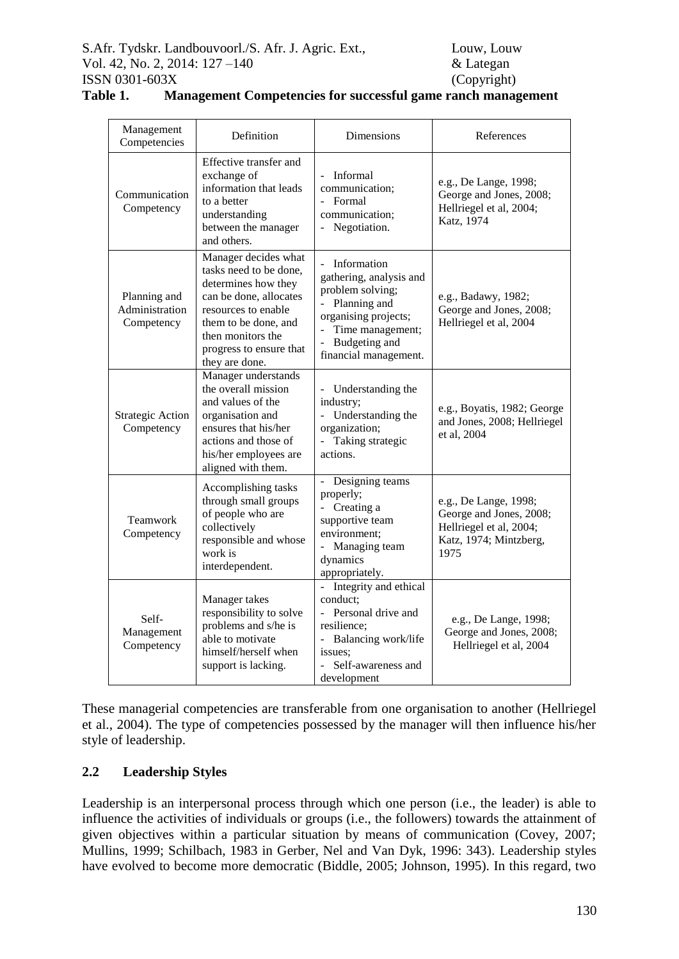|  | Management<br>Competencies                   | Definition                                                                                                                                                                                                       | Dimensions                                                                                                                                                                                                     | References                                                                                                    |
|--|----------------------------------------------|------------------------------------------------------------------------------------------------------------------------------------------------------------------------------------------------------------------|----------------------------------------------------------------------------------------------------------------------------------------------------------------------------------------------------------------|---------------------------------------------------------------------------------------------------------------|
|  | Communication<br>Competency                  | Effective transfer and<br>exchange of<br>information that leads<br>to a better<br>understanding<br>between the manager<br>and others.                                                                            | Informal<br>$\sim$<br>communication;<br>- Formal<br>communication;<br>Negotiation.<br>$\overline{\phantom{a}}$                                                                                                 | e.g., De Lange, 1998;<br>George and Jones, 2008;<br>Hellriegel et al, 2004;<br>Katz, 1974                     |
|  | Planning and<br>Administration<br>Competency | Manager decides what<br>tasks need to be done,<br>determines how they<br>can be done, allocates<br>resources to enable<br>them to be done, and<br>then monitors the<br>progress to ensure that<br>they are done. | Information<br>$\blacksquare$<br>gathering, analysis and<br>problem solving;<br>Planning and<br>$\overline{\phantom{a}}$<br>organising projects;<br>Time management;<br>Budgeting and<br>financial management. | e.g., Badawy, 1982;<br>George and Jones, 2008;<br>Hellriegel et al, 2004                                      |
|  | <b>Strategic Action</b><br>Competency        | Manager understands<br>the overall mission<br>and values of the<br>organisation and<br>ensures that his/her<br>actions and those of<br>his/her employees are<br>aligned with them.                               | Understanding the<br>industry;<br>- Understanding the<br>organization;<br>- Taking strategic<br>actions.                                                                                                       | e.g., Boyatis, 1982; George<br>and Jones, 2008; Hellriegel<br>et al, 2004                                     |
|  | Teamwork<br>Competency                       | Accomplishing tasks<br>through small groups<br>of people who are<br>collectively<br>responsible and whose<br>work is<br>interdependent.                                                                          | Designing teams<br>properly;<br>Creating a<br>$\sim$<br>supportive team<br>environment;<br>Managing team<br>dynamics<br>appropriately.                                                                         | e.g., De Lange, 1998;<br>George and Jones, 2008;<br>Hellriegel et al, 2004;<br>Katz, 1974; Mintzberg,<br>1975 |
|  | Self-<br>Management<br>Competency            | Manager takes<br>responsibility to solve<br>problems and s/he is<br>able to motivate<br>himself/herself when<br>support is lacking.                                                                              | - Integrity and ethical<br>conduct:<br>- Personal drive and<br>resilience;<br>Balancing work/life<br>$\omega_{\rm{eff}}$<br>issues:<br>Self-awareness and<br>development                                       | e.g., De Lange, 1998;<br>George and Jones, 2008;<br>Hellriegel et al, 2004                                    |

| Table 1. | Management Competencies for successful game ranch management |  |  |  |  |
|----------|--------------------------------------------------------------|--|--|--|--|
|----------|--------------------------------------------------------------|--|--|--|--|

These managerial competencies are transferable from one organisation to another (Hellriegel et al., 2004). The type of competencies possessed by the manager will then influence his/her style of leadership.

# **2.2 Leadership Styles**

Leadership is an interpersonal process through which one person (i.e., the leader) is able to influence the activities of individuals or groups (i.e., the followers) towards the attainment of given objectives within a particular situation by means of communication (Covey, 2007; Mullins, 1999; Schilbach, 1983 in Gerber, Nel and Van Dyk, 1996: 343). Leadership styles have evolved to become more democratic (Biddle, 2005; Johnson, 1995). In this regard, two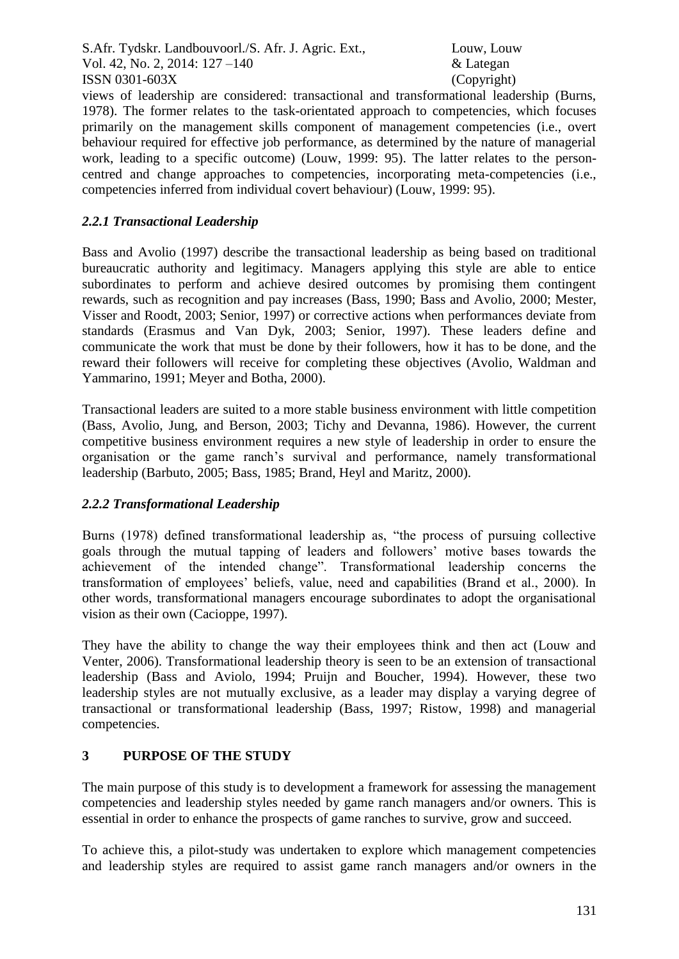views of leadership are considered: transactional and transformational leadership (Burns, 1978). The former relates to the task-orientated approach to competencies, which focuses primarily on the management skills component of management competencies (i.e., overt behaviour required for effective job performance, as determined by the nature of managerial work, leading to a specific outcome) (Louw, 1999: 95). The latter relates to the personcentred and change approaches to competencies, incorporating meta-competencies (i.e., competencies inferred from individual covert behaviour) (Louw, 1999: 95).

## *2.2.1 Transactional Leadership*

Bass and Avolio (1997) describe the transactional leadership as being based on traditional bureaucratic authority and legitimacy. Managers applying this style are able to entice subordinates to perform and achieve desired outcomes by promising them contingent rewards, such as recognition and pay increases (Bass, 1990; Bass and Avolio, 2000; Mester, Visser and Roodt, 2003; Senior, 1997) or corrective actions when performances deviate from standards (Erasmus and Van Dyk, 2003; Senior, 1997). These leaders define and communicate the work that must be done by their followers, how it has to be done, and the reward their followers will receive for completing these objectives (Avolio, Waldman and Yammarino, 1991; Meyer and Botha, 2000).

Transactional leaders are suited to a more stable business environment with little competition (Bass, Avolio, Jung, and Berson, 2003; Tichy and Devanna, 1986). However, the current competitive business environment requires a new style of leadership in order to ensure the organisation or the game ranch's survival and performance, namely transformational leadership (Barbuto, 2005; Bass, 1985; Brand, Heyl and Maritz, 2000).

## *2.2.2 Transformational Leadership*

Burns (1978) defined transformational leadership as, "the process of pursuing collective goals through the mutual tapping of leaders and followers' motive bases towards the achievement of the intended change". Transformational leadership concerns the transformation of employees' beliefs, value, need and capabilities (Brand et al., 2000). In other words, transformational managers encourage subordinates to adopt the organisational vision as their own (Cacioppe, 1997).

They have the ability to change the way their employees think and then act (Louw and Venter, 2006). Transformational leadership theory is seen to be an extension of transactional leadership (Bass and Aviolo, 1994; Pruijn and Boucher, 1994). However, these two leadership styles are not mutually exclusive, as a leader may display a varying degree of transactional or transformational leadership (Bass, 1997; Ristow, 1998) and managerial competencies.

# **3 PURPOSE OF THE STUDY**

The main purpose of this study is to development a framework for assessing the management competencies and leadership styles needed by game ranch managers and/or owners. This is essential in order to enhance the prospects of game ranches to survive, grow and succeed.

To achieve this, a pilot-study was undertaken to explore which management competencies and leadership styles are required to assist game ranch managers and/or owners in the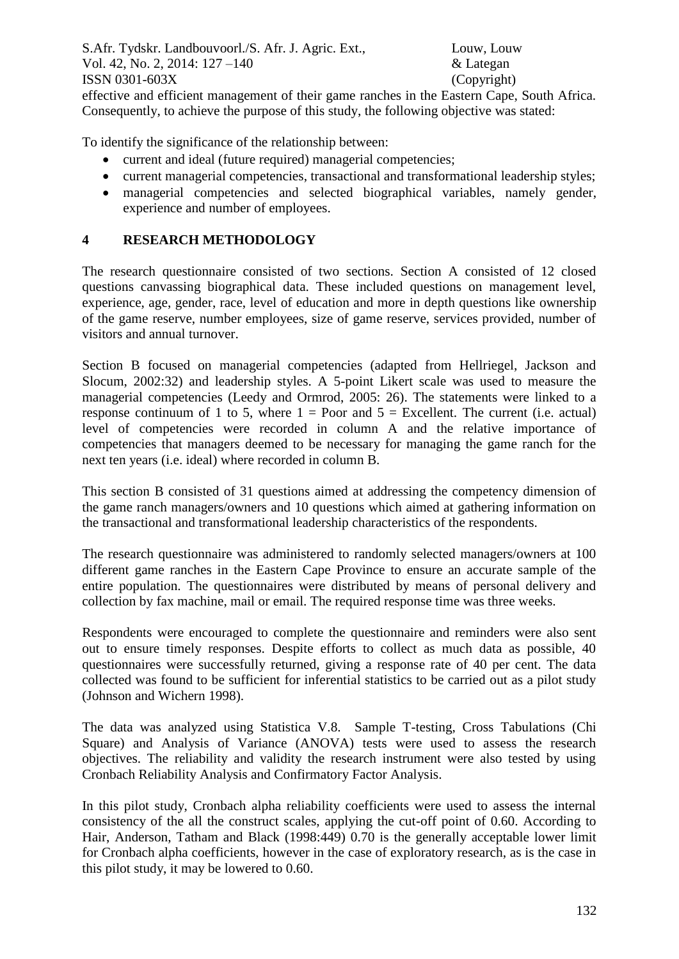effective and efficient management of their game ranches in the Eastern Cape, South Africa. Consequently, to achieve the purpose of this study, the following objective was stated:

To identify the significance of the relationship between:

- current and ideal (future required) managerial competencies;
- current managerial competencies, transactional and transformational leadership styles;
- managerial competencies and selected biographical variables, namely gender, experience and number of employees.

## **4 RESEARCH METHODOLOGY**

The research questionnaire consisted of two sections. Section A consisted of 12 closed questions canvassing biographical data. These included questions on management level, experience, age, gender, race, level of education and more in depth questions like ownership of the game reserve, number employees, size of game reserve, services provided, number of visitors and annual turnover.

Section B focused on managerial competencies (adapted from Hellriegel, Jackson and Slocum, 2002:32) and leadership styles. A 5-point Likert scale was used to measure the managerial competencies (Leedy and Ormrod, 2005: 26). The statements were linked to a response continuum of 1 to 5, where  $1 =$  Poor and  $5 =$  Excellent. The current (i.e. actual) level of competencies were recorded in column A and the relative importance of competencies that managers deemed to be necessary for managing the game ranch for the next ten years (i.e. ideal) where recorded in column B.

This section B consisted of 31 questions aimed at addressing the competency dimension of the game ranch managers/owners and 10 questions which aimed at gathering information on the transactional and transformational leadership characteristics of the respondents.

The research questionnaire was administered to randomly selected managers/owners at 100 different game ranches in the Eastern Cape Province to ensure an accurate sample of the entire population. The questionnaires were distributed by means of personal delivery and collection by fax machine, mail or email. The required response time was three weeks.

Respondents were encouraged to complete the questionnaire and reminders were also sent out to ensure timely responses. Despite efforts to collect as much data as possible, 40 questionnaires were successfully returned, giving a response rate of 40 per cent. The data collected was found to be sufficient for inferential statistics to be carried out as a pilot study (Johnson and Wichern 1998).

The data was analyzed using Statistica V.8. Sample T-testing, Cross Tabulations (Chi Square) and Analysis of Variance (ANOVA) tests were used to assess the research objectives. The reliability and validity the research instrument were also tested by using Cronbach Reliability Analysis and Confirmatory Factor Analysis.

In this pilot study, Cronbach alpha reliability coefficients were used to assess the internal consistency of the all the construct scales, applying the cut-off point of 0.60. According to Hair, Anderson, Tatham and Black (1998:449) 0.70 is the generally acceptable lower limit for Cronbach alpha coefficients, however in the case of exploratory research, as is the case in this pilot study, it may be lowered to 0.60.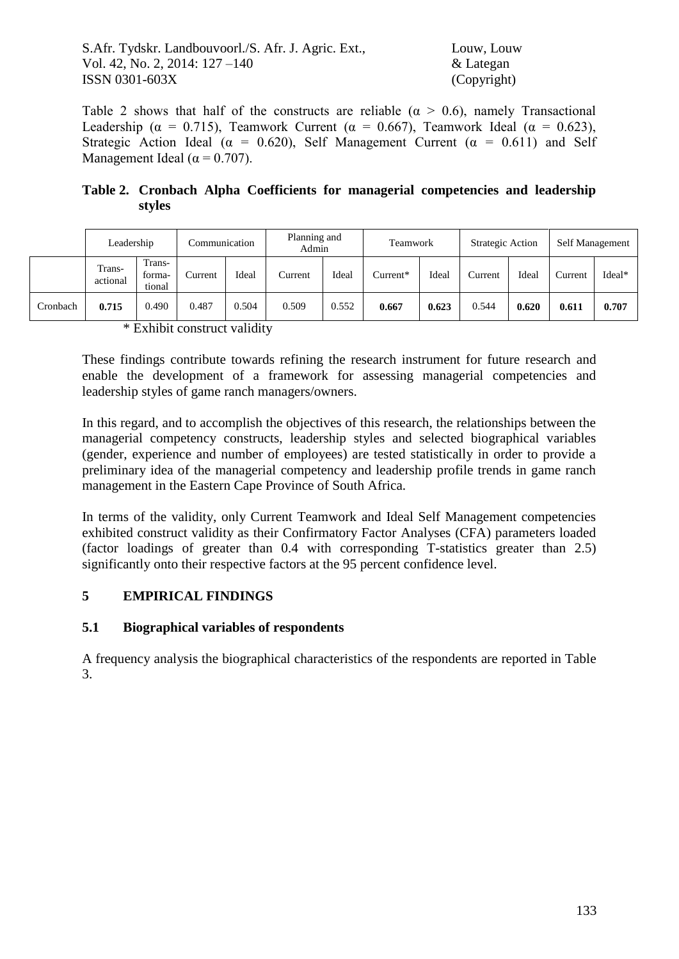Table 2 shows that half of the constructs are reliable ( $\alpha > 0.6$ ), namely Transactional Leadership ( $\alpha = 0.715$ ), Teamwork Current ( $\alpha = 0.667$ ), Teamwork Ideal ( $\alpha = 0.623$ ), Strategic Action Ideal ( $\alpha = 0.620$ ), Self Management Current ( $\alpha = 0.611$ ) and Self Management Ideal ( $\alpha$  = 0.707).

**Table 2. Cronbach Alpha Coefficients for managerial competencies and leadership styles**

|  |          | Leadership         |                            | Communication |       | Planning and<br>Admin |       | Teamwork |       | Strategic Action |       |         | Self Management |
|--|----------|--------------------|----------------------------|---------------|-------|-----------------------|-------|----------|-------|------------------|-------|---------|-----------------|
|  |          | Trans-<br>actional | Trans-<br>forma-<br>tional | Current       | Ideal | Current               | Ideal | Current* | Ideal | Current          | Ideal | Current | Ideal*          |
|  | Cronbach | 0.715              | 0.490                      | 0.487         | 0.504 | 0.509                 | 0.552 | 0.667    | 0.623 | 0.544            | 0.620 | 0.611   | 0.707           |

\* Exhibit construct validity

These findings contribute towards refining the research instrument for future research and enable the development of a framework for assessing managerial competencies and leadership styles of game ranch managers/owners.

In this regard, and to accomplish the objectives of this research, the relationships between the managerial competency constructs, leadership styles and selected biographical variables (gender, experience and number of employees) are tested statistically in order to provide a preliminary idea of the managerial competency and leadership profile trends in game ranch management in the Eastern Cape Province of South Africa.

In terms of the validity, only Current Teamwork and Ideal Self Management competencies exhibited construct validity as their Confirmatory Factor Analyses (CFA) parameters loaded (factor loadings of greater than 0.4 with corresponding T-statistics greater than 2.5) significantly onto their respective factors at the 95 percent confidence level.

## **5 EMPIRICAL FINDINGS**

## **5.1 Biographical variables of respondents**

A frequency analysis the biographical characteristics of the respondents are reported in Table 3.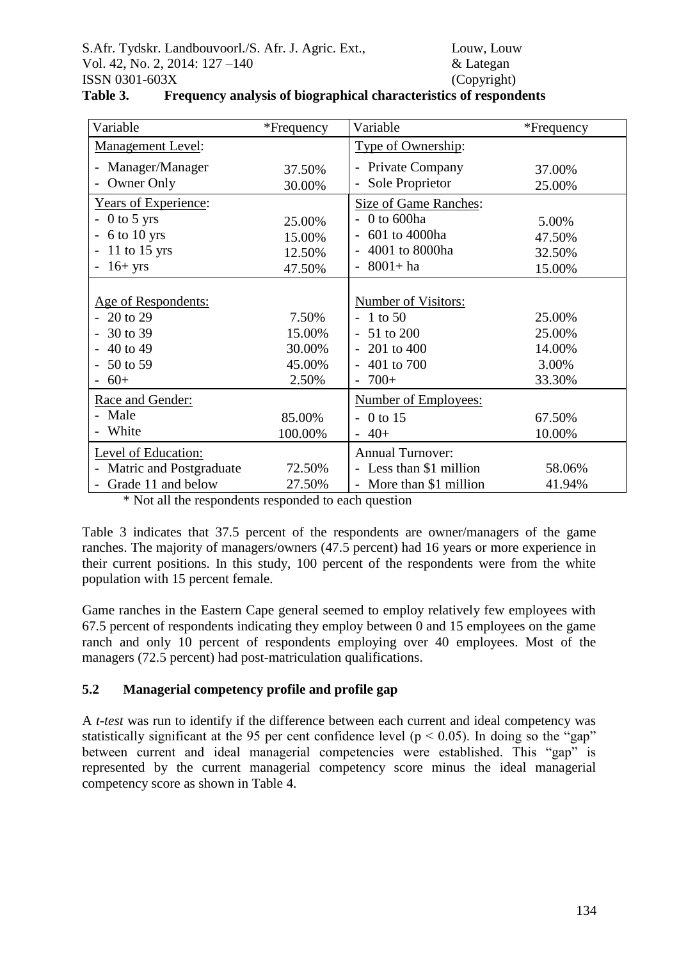| Variable                              | *Frequency | Variable                                | *Frequency |
|---------------------------------------|------------|-----------------------------------------|------------|
| <b>Management Level:</b>              |            | Type of Ownership:                      |            |
| Manager/Manager                       | 37.50%     | Private Company                         | 37.00%     |
| Owner Only                            | 30.00%     | Sole Proprietor                         | 25.00%     |
| <b>Years of Experience:</b>           |            | Size of Game Ranches:                   |            |
| $0$ to 5 yrs                          | 25.00%     | 0 to 600ha                              | 5.00%      |
| 6 to 10 yrs                           | 15.00%     | 601 to 4000ha                           | 47.50%     |
| 11 to 15 yrs                          | 12.50%     | 4001 to 8000ha                          | 32.50%     |
| $16+$ yrs<br>$\overline{\phantom{0}}$ | 47.50%     | $8001 + ha$<br>$\overline{\phantom{0}}$ | 15.00%     |
|                                       |            |                                         |            |
| Age of Respondents:                   |            | Number of Visitors:                     |            |
| 20 to 29                              | 7.50%      | 1 to 50<br>$\overline{\phantom{0}}$     | 25.00%     |
| 30 to 39                              | 15.00%     | 51 to 200<br>$\overline{\phantom{0}}$   | 25.00%     |
| 40 to 49                              | 30.00%     | 201 to 400                              | 14.00%     |
| 50 to 59                              | 45.00%     | 401 to 700                              | 3.00%      |
| $60+$                                 | 2.50%      | $700+$<br>$\overline{\phantom{0}}$      | 33.30%     |
| Race and Gender:                      |            | <b>Number of Employees:</b>             |            |
| Male                                  | 85.00%     | 0 to 15                                 | 67.50%     |
| White                                 | 100.00%    | $40+$<br>$\overline{\phantom{0}}$       | 10.00%     |
| Level of Education:                   |            | <b>Annual Turnover:</b>                 |            |
| Matric and Postgraduate               | 72.50%     | Less than \$1 million                   | 58.06%     |
| Grade 11 and below                    | 27.50%     | More than \$1 million                   | 41.94%     |

| Table 3. | Frequency analysis of biographical characteristics of respondents |  |
|----------|-------------------------------------------------------------------|--|

\* Not all the respondents responded to each question

Table 3 indicates that 37.5 percent of the respondents are owner/managers of the game ranches. The majority of managers/owners (47.5 percent) had 16 years or more experience in their current positions. In this study, 100 percent of the respondents were from the white population with 15 percent female.

Game ranches in the Eastern Cape general seemed to employ relatively few employees with 67.5 percent of respondents indicating they employ between 0 and 15 employees on the game ranch and only 10 percent of respondents employing over 40 employees. Most of the managers (72.5 percent) had post-matriculation qualifications.

## **5.2 Managerial competency profile and profile gap**

A *t-test* was run to identify if the difference between each current and ideal competency was statistically significant at the 95 per cent confidence level ( $p < 0.05$ ). In doing so the "gap" between current and ideal managerial competencies were established. This "gap" is represented by the current managerial competency score minus the ideal managerial competency score as shown in Table 4.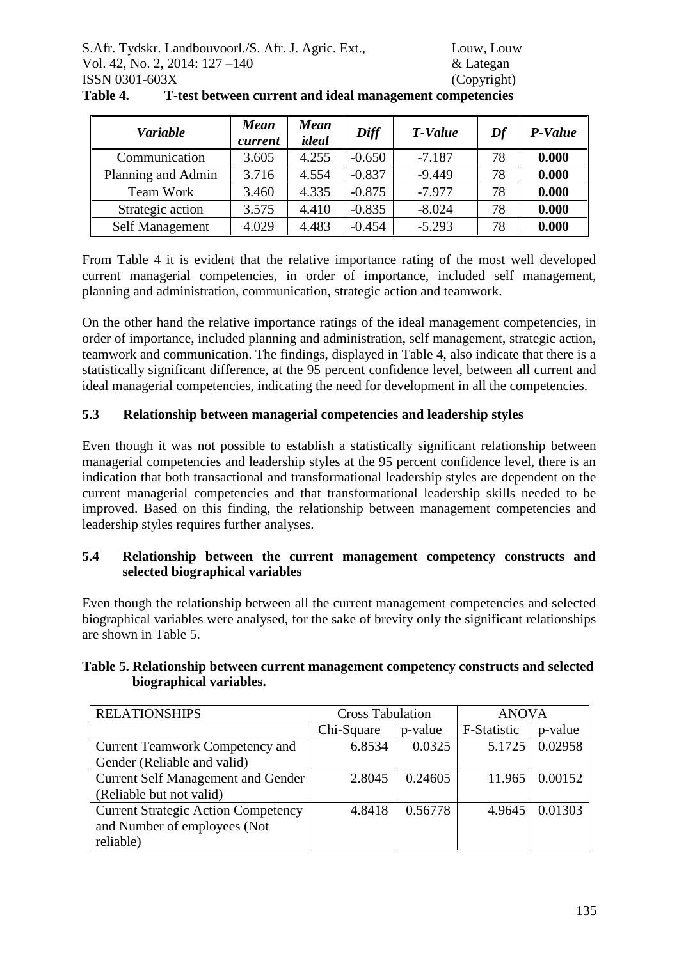| <b>Variable</b>    | <b>Mean</b><br>current | <b>Mean</b><br>ideal | Diff     | T-Value  | Df | P-Value |
|--------------------|------------------------|----------------------|----------|----------|----|---------|
| Communication      | 3.605                  | 4.255                | $-0.650$ | $-7.187$ | 78 | 0.000   |
| Planning and Admin | 3.716                  | 4.554                | $-0.837$ | $-9.449$ | 78 | 0.000   |
| Team Work          | 3.460                  | 4.335                | $-0.875$ | $-7.977$ | 78 | 0.000   |
| Strategic action   | 3.575                  | 4.410                | $-0.835$ | $-8.024$ | 78 | 0.000   |
| Self Management    | 4.029                  | 4.483                | $-0.454$ | $-5.293$ | 78 | 0.000   |

**Table 4. T-test between current and ideal management competencies**

From Table 4 it is evident that the relative importance rating of the most well developed current managerial competencies, in order of importance, included self management, planning and administration, communication, strategic action and teamwork.

On the other hand the relative importance ratings of the ideal management competencies, in order of importance, included planning and administration, self management, strategic action, teamwork and communication. The findings, displayed in Table 4, also indicate that there is a statistically significant difference, at the 95 percent confidence level, between all current and ideal managerial competencies, indicating the need for development in all the competencies.

# **5.3 Relationship between managerial competencies and leadership styles**

Even though it was not possible to establish a statistically significant relationship between managerial competencies and leadership styles at the 95 percent confidence level, there is an indication that both transactional and transformational leadership styles are dependent on the current managerial competencies and that transformational leadership skills needed to be improved. Based on this finding, the relationship between management competencies and leadership styles requires further analyses.

## **5.4 Relationship between the current management competency constructs and selected biographical variables**

Even though the relationship between all the current management competencies and selected biographical variables were analysed, for the sake of brevity only the significant relationships are shown in Table 5.

| <b>RELATIONSHIPS</b>                       | <b>Cross Tabulation</b> |         | <b>ANOVA</b> |                |  |
|--------------------------------------------|-------------------------|---------|--------------|----------------|--|
|                                            | Chi-Square              | p-value | F-Statistic  | p-value        |  |
| <b>Current Teamwork Competency and</b>     | 6.8534                  | 0.0325  |              | 5.1725 0.02958 |  |
| Gender (Reliable and valid)                |                         |         |              |                |  |
| <b>Current Self Management and Gender</b>  | 2.8045                  | 0.24605 | 11.965       | 0.00152        |  |
| (Reliable but not valid)                   |                         |         |              |                |  |
| <b>Current Strategic Action Competency</b> | 4.8418                  | 0.56778 | 4.9645       | 0.01303        |  |
| and Number of employees (Not               |                         |         |              |                |  |
| reliable)                                  |                         |         |              |                |  |

#### **Table 5. Relationship between current management competency constructs and selected biographical variables.**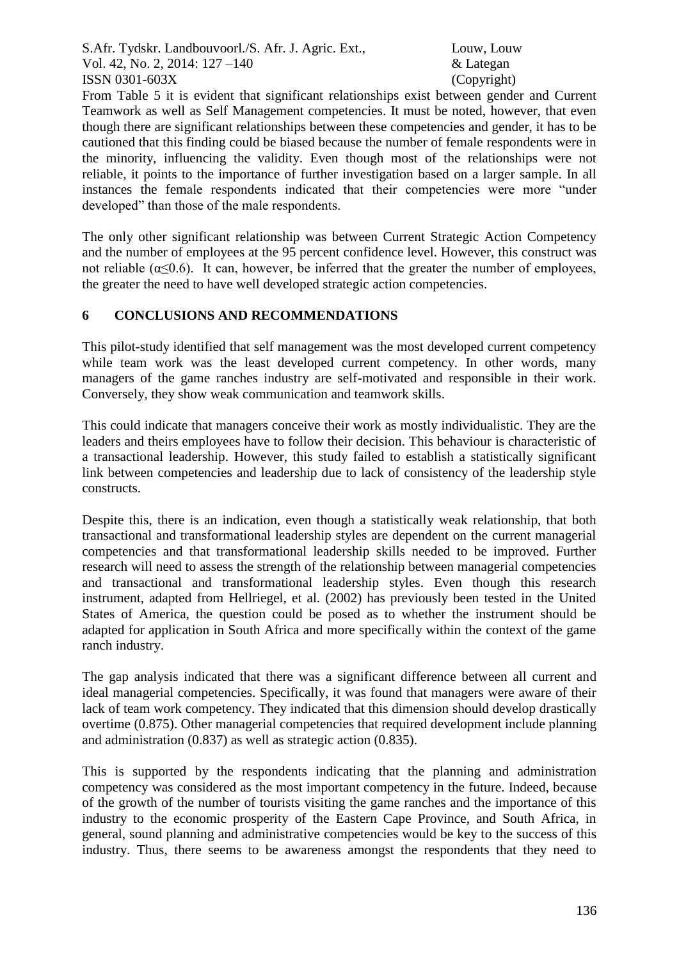From Table 5 it is evident that significant relationships exist between gender and Current Teamwork as well as Self Management competencies. It must be noted, however, that even though there are significant relationships between these competencies and gender, it has to be cautioned that this finding could be biased because the number of female respondents were in the minority, influencing the validity. Even though most of the relationships were not reliable, it points to the importance of further investigation based on a larger sample. In all instances the female respondents indicated that their competencies were more "under developed" than those of the male respondents.

The only other significant relationship was between Current Strategic Action Competency and the number of employees at the 95 percent confidence level. However, this construct was not reliable ( $\alpha$ <0.6). It can, however, be inferred that the greater the number of employees, the greater the need to have well developed strategic action competencies.

## **6 CONCLUSIONS AND RECOMMENDATIONS**

This pilot-study identified that self management was the most developed current competency while team work was the least developed current competency. In other words, many managers of the game ranches industry are self-motivated and responsible in their work. Conversely, they show weak communication and teamwork skills.

This could indicate that managers conceive their work as mostly individualistic. They are the leaders and theirs employees have to follow their decision. This behaviour is characteristic of a transactional leadership. However, this study failed to establish a statistically significant link between competencies and leadership due to lack of consistency of the leadership style constructs.

Despite this, there is an indication, even though a statistically weak relationship, that both transactional and transformational leadership styles are dependent on the current managerial competencies and that transformational leadership skills needed to be improved. Further research will need to assess the strength of the relationship between managerial competencies and transactional and transformational leadership styles. Even though this research instrument, adapted from Hellriegel, et al. (2002) has previously been tested in the United States of America, the question could be posed as to whether the instrument should be adapted for application in South Africa and more specifically within the context of the game ranch industry.

The gap analysis indicated that there was a significant difference between all current and ideal managerial competencies. Specifically, it was found that managers were aware of their lack of team work competency. They indicated that this dimension should develop drastically overtime (0.875). Other managerial competencies that required development include planning and administration (0.837) as well as strategic action (0.835).

This is supported by the respondents indicating that the planning and administration competency was considered as the most important competency in the future. Indeed, because of the growth of the number of tourists visiting the game ranches and the importance of this industry to the economic prosperity of the Eastern Cape Province, and South Africa, in general, sound planning and administrative competencies would be key to the success of this industry. Thus, there seems to be awareness amongst the respondents that they need to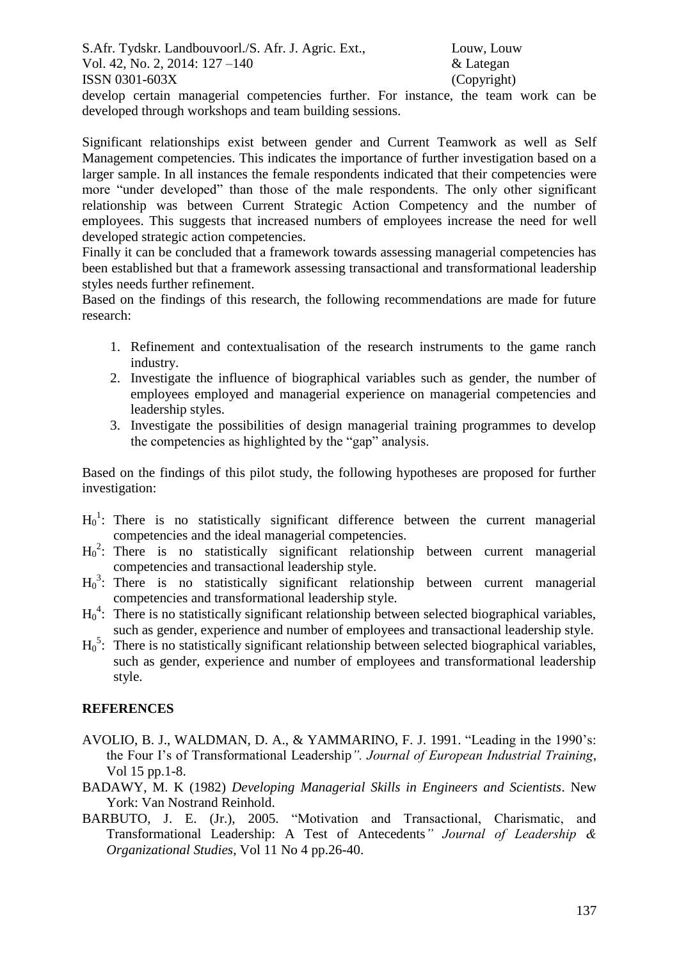develop certain managerial competencies further. For instance, the team work can be developed through workshops and team building sessions.

Significant relationships exist between gender and Current Teamwork as well as Self Management competencies. This indicates the importance of further investigation based on a larger sample. In all instances the female respondents indicated that their competencies were more "under developed" than those of the male respondents. The only other significant relationship was between Current Strategic Action Competency and the number of employees. This suggests that increased numbers of employees increase the need for well developed strategic action competencies.

Finally it can be concluded that a framework towards assessing managerial competencies has been established but that a framework assessing transactional and transformational leadership styles needs further refinement.

Based on the findings of this research, the following recommendations are made for future research:

- 1. Refinement and contextualisation of the research instruments to the game ranch industry.
- 2. Investigate the influence of biographical variables such as gender, the number of employees employed and managerial experience on managerial competencies and leadership styles.
- 3. Investigate the possibilities of design managerial training programmes to develop the competencies as highlighted by the "gap" analysis.

Based on the findings of this pilot study, the following hypotheses are proposed for further investigation:

- $H_0^1$ : There is no statistically significant difference between the current managerial competencies and the ideal managerial competencies.
- H<sub>0</sub><sup>2</sup>: There is no statistically significant relationship between current managerial competencies and transactional leadership style.
- H<sub>0</sub><sup>3</sup>: There is no statistically significant relationship between current managerial competencies and transformational leadership style.
- $H_0^4$ : There is no statistically significant relationship between selected biographical variables, such as gender, experience and number of employees and transactional leadership style.
- H<sub>0</sub><sup>5</sup>: There is no statistically significant relationship between selected biographical variables, such as gender, experience and number of employees and transformational leadership style.

## **REFERENCES**

- AVOLIO, B. J., WALDMAN, D. A., & YAMMARINO, F. J. 1991. "Leading in the 1990's: the Four I's of Transformational Leadership*". Journal of European Industrial Training*, Vol 15 pp.1-8.
- BADAWY, M. K (1982) *Developing Managerial Skills in Engineers and Scientists*. New York: Van Nostrand Reinhold.
- BARBUTO, J. E. (Jr.), 2005. "Motivation and Transactional, Charismatic, and Transformational Leadership: A Test of Antecedents*" Journal of Leadership & Organizational Studies*, Vol 11 No 4 pp.26-40.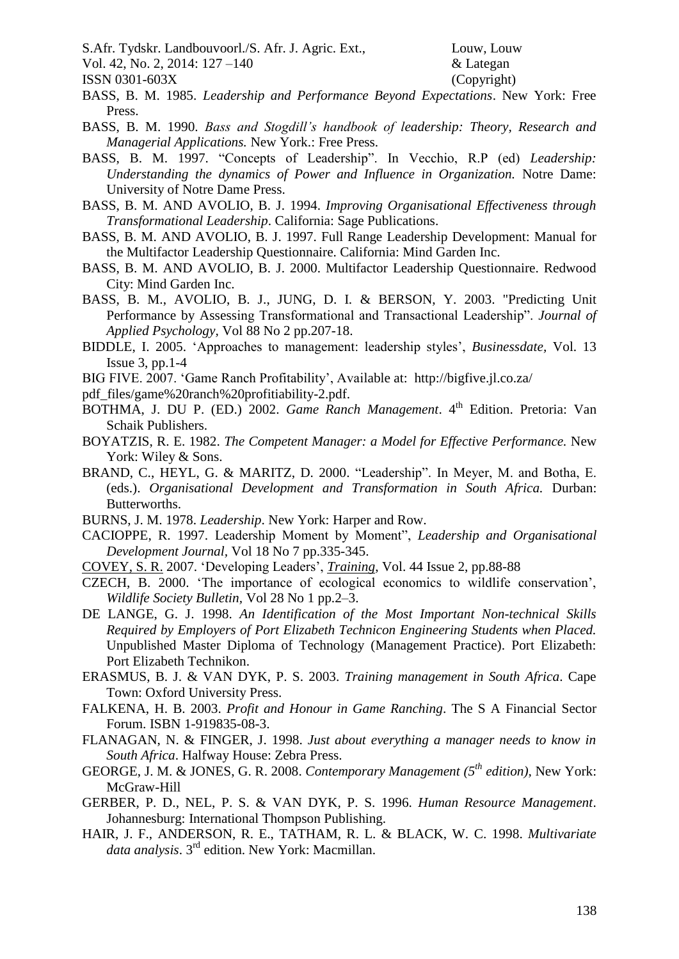S.Afr. Tydskr. Landbouvoorl./S. Afr. J. Agric. Ext., Louw, Louw, Louw

Vol. 42, No. 2, 2014: 127 –140 & Lategan

ISSN 0301-603X (Copyright)

- BASS, B. M. 1985. *Leadership and Performance Beyond Expectations*. New York: Free Press.
- BASS, B. M. 1990. *Bass and Stogdill's handbook of leadership: Theory, Research and Managerial Applications.* New York.: Free Press.
- BASS, B. M. 1997. "Concepts of Leadership". In Vecchio, R.P (ed) *Leadership: Understanding the dynamics of Power and Influence in Organization.* Notre Dame: University of Notre Dame Press.
- BASS, B. M. AND AVOLIO, B. J. 1994. *Improving Organisational Effectiveness through Transformational Leadership*. California: Sage Publications.
- BASS, B. M. AND AVOLIO, B. J. 1997. Full Range Leadership Development: Manual for the Multifactor Leadership Questionnaire. California: Mind Garden Inc.
- BASS, B. M. AND AVOLIO, B. J. 2000. Multifactor Leadership Questionnaire. Redwood City: Mind Garden Inc.
- BASS, B. M., AVOLIO, B. J., JUNG, D. I. & BERSON, Y. 2003. "Predicting Unit Performance by Assessing Transformational and Transactional Leadership". *Journal of Applied Psychology,* Vol 88 No 2 pp.207-18.
- BIDDLE, I. 2005. 'Approaches to management: leadership styles', *Businessdate,* Vol. 13 Issue 3, pp.1-4
- BIG FIVE. 2007. 'Game Ranch Profitability', Available at: http://bigfive.jl.co.za/
- pdf\_files/game%20ranch%20profitiability-2.pdf.
- BOTHMA, J. DU P. (ED.) 2002. *Game Ranch Management*. 4<sup>th</sup> Edition. Pretoria: Van Schaik Publishers.
- BOYATZIS, R. E. 1982. *The Competent Manager: a Model for Effective Performance.* New York: Wiley & Sons.
- BRAND, C., HEYL, G. & MARITZ, D. 2000. "Leadership". In Meyer, M. and Botha, E. (eds.). *Organisational Development and Transformation in South Africa.* Durban: Butterworths.
- BURNS, J. M. 1978. *Leadership*. New York: Harper and Row.
- CACIOPPE, R. 1997. Leadership Moment by Moment", *Leadership and Organisational Development Journal,* Vol 18 No 7 pp.335-345.
- [COVEY, S.](javascript:__doLinkPostBack() R. 2007. 'Developing Leaders', *[Training](javascript:__doLinkPostBack()*, Vol. 44 Issue 2, pp.88-88
- CZECH, B. 2000. 'The importance of ecological economics to wildlife conservation', *Wildlife Society Bulletin,* Vol 28 No 1 pp.2–3.
- DE LANGE, G. J. 1998. *An Identification of the Most Important Non-technical Skills Required by Employers of Port Elizabeth Technicon Engineering Students when Placed.*  Unpublished Master Diploma of Technology (Management Practice). Port Elizabeth: Port Elizabeth Technikon.
- ERASMUS, B. J. & VAN DYK, P. S. 2003. *Training management in South Africa*. Cape Town: Oxford University Press.
- FALKENA, H. B. 2003. *Profit and Honour in Game Ranching*. The S A Financial Sector Forum. ISBN 1-919835-08-3.
- FLANAGAN, N. & FINGER, J. 1998. *Just about everything a manager needs to know in South Africa*. Halfway House: Zebra Press.
- GEORGE, J. M. & JONES, G. R. 2008. *Contemporary Management (5th edition),* New York: McGraw-Hill
- GERBER, P. D., NEL, P. S. & VAN DYK, P. S. 1996. *Human Resource Management*. Johannesburg: International Thompson Publishing.
- HAIR, J. F., ANDERSON, R. E., TATHAM, R. L. & BLACK, W. C. 1998. *Multivariate data analysis*. 3rd edition. New York: Macmillan.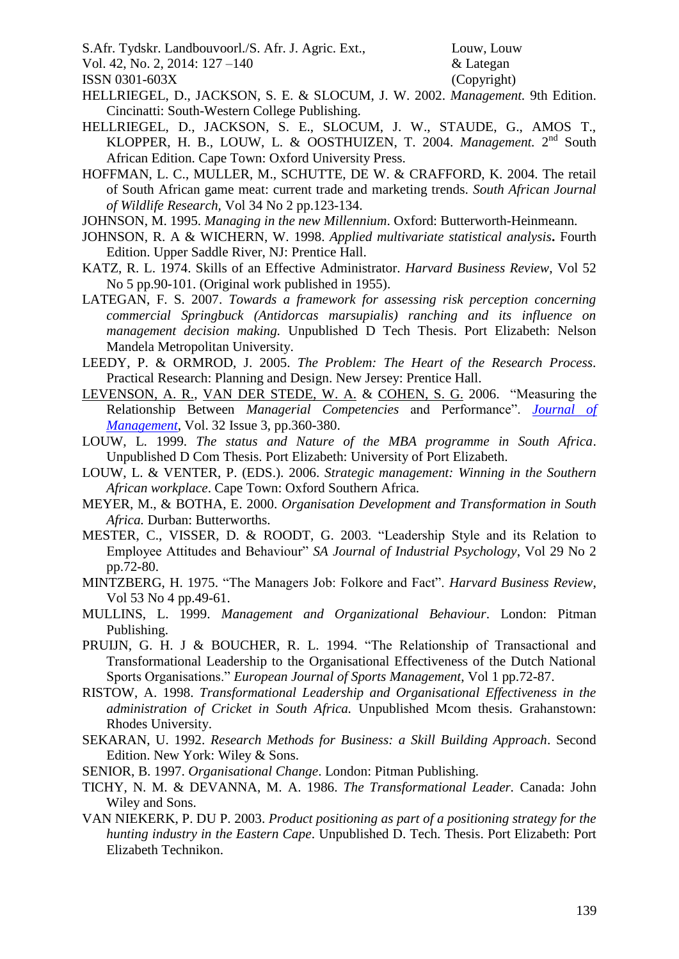S.Afr. Tydskr. Landbouvoorl./S. Afr. J. Agric. Ext., Louw, Louw

Vol. 42, No. 2, 2014: 127 –140 & Lategan

ISSN 0301-603X (Copyright)

- HELLRIEGEL, D., JACKSON, S. E. & SLOCUM, J. W. 2002. *Management.* 9th Edition. Cincinatti: South-Western College Publishing.
- HELLRIEGEL, D., JACKSON, S. E., SLOCUM, J. W., STAUDE, G., AMOS T., KLOPPER, H. B., LOUW, L. & OOSTHUIZEN, T. 2004. *Management*. 2<sup>nd</sup> South African Edition. Cape Town: Oxford University Press.
- HOFFMAN, L. C., MULLER, M., SCHUTTE, DE W. & CRAFFORD, K. 2004. The retail of South African game meat: current trade and marketing trends. *South African Journal of Wildlife Research,* Vol 34 No 2 pp.123-134.
- JOHNSON, M. 1995. *Managing in the new Millennium*. Oxford: Butterworth-Heinmeann.
- JOHNSON, R. A & WICHERN, W. 1998. *Applied multivariate statistical analysis***.** Fourth Edition. Upper Saddle River, NJ: Prentice Hall.
- KATZ, R. L. 1974. Skills of an Effective Administrator. *Harvard Business Review*, Vol 52 No 5 pp.90-101. (Original work published in 1955).
- LATEGAN, F. S. 2007. *Towards a framework for assessing risk perception concerning commercial Springbuck (Antidorcas marsupialis) ranching and its influence on management decision making.* Unpublished D Tech Thesis. Port Elizabeth: Nelson Mandela Metropolitan University.
- LEEDY, P. & ORMROD, J. 2005. *The Problem: The Heart of the Research Process.* Practical Research: Planning and Design. New Jersey: Prentice Hall.
- [LEVENSON, A. R.,](javascript:__doLinkPostBack() [VAN DER STEDE, W. A.](javascript:__doLinkPostBack() & [COHEN, S. G.](javascript:__doLinkPostBack() 2006. "Measuring the Relationship Between *Managerial Competencies* and Performance". *[Journal of](javascript:__doLinkPostBack()  [Management](javascript:__doLinkPostBack()*, Vol. 32 Issue 3, pp.360-380.
- LOUW, L. 1999. *The status and Nature of the MBA programme in South Africa*. Unpublished D Com Thesis. Port Elizabeth: University of Port Elizabeth.
- LOUW, L. & VENTER, P. (EDS.). 2006. *Strategic management: Winning in the Southern African workplace*. Cape Town: Oxford Southern Africa.
- MEYER, M., & BOTHA, E. 2000. *Organisation Development and Transformation in South Africa.* Durban: Butterworths.
- MESTER, C., VISSER, D. & ROODT, G. 2003. "Leadership Style and its Relation to Employee Attitudes and Behaviour" *SA Journal of Industrial Psychology*, Vol 29 No 2 pp.72-80.
- MINTZBERG, H. 1975. "The Managers Job: Folkore and Fact". *Harvard Business Review*, Vol 53 No 4 pp.49-61.
- MULLINS, L. 1999. *Management and Organizational Behaviour*. London: Pitman Publishing.
- PRUIJN, G. H. J & BOUCHER, R. L. 1994. "The Relationship of Transactional and Transformational Leadership to the Organisational Effectiveness of the Dutch National Sports Organisations." *European Journal of Sports Management*, Vol 1 pp.72-87.
- RISTOW, A. 1998. *Transformational Leadership and Organisational Effectiveness in the administration of Cricket in South Africa.* Unpublished Mcom thesis. Grahanstown: Rhodes University.
- SEKARAN, U. 1992. *Research Methods for Business: a Skill Building Approach*. Second Edition. New York: Wiley & Sons.
- SENIOR, B. 1997. *Organisational Change*. London: Pitman Publishing.
- TICHY, N. M. & DEVANNA, M. A. 1986. *The Transformational Leader.* Canada: John Wiley and Sons.
- VAN NIEKERK, P. DU P. 2003. *Product positioning as part of a positioning strategy for the hunting industry in the Eastern Cape*. Unpublished D. Tech. Thesis. Port Elizabeth: Port Elizabeth Technikon.